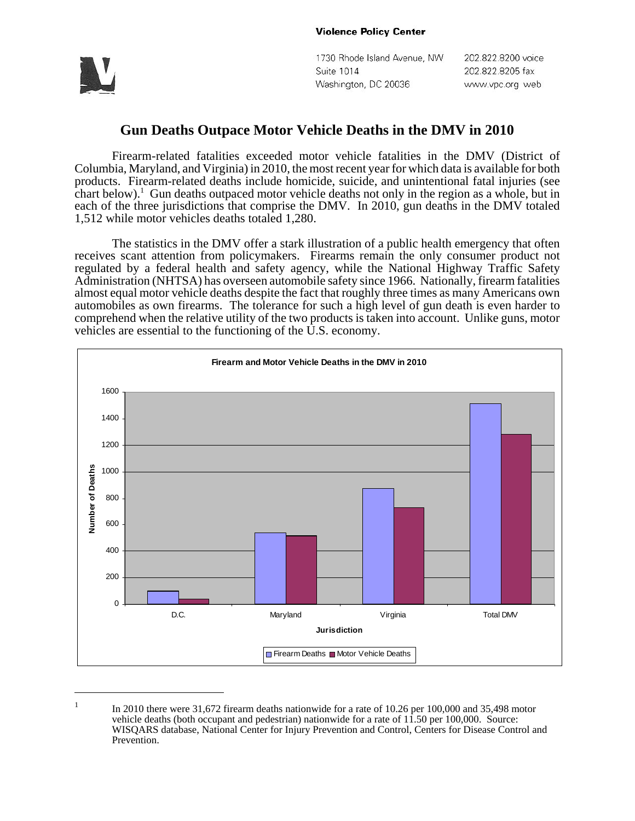

1730 Rhode Island Avenue, NW Suite 1014 Washington, DC 20036

202.822.8200 voice 202.822.8205 fax www.vpc.org web

## **Gun Deaths Outpace Motor Vehicle Deaths in the DMV in 2010**

Firearm-related fatalities exceeded motor vehicle fatalities in the DMV (District of Columbia, Maryland, and Virginia) in 2010, the most recent year for which data is available for both products. Firearm-related deaths include homicide, suicide, and unintentional fatal injuries (see chart below).<sup>1</sup> Gun deaths outpaced motor vehicle deaths not only in the region as a whole, but in each of the three jurisdictions that comprise the DMV. In 2010, gun deaths in the DMV totaled 1,512 while motor vehicles deaths totaled 1,280.

The statistics in the DMV offer a stark illustration of a public health emergency that often receives scant attention from policymakers. Firearms remain the only consumer product not regulated by a federal health and safety agency, while the National Highway Traffic Safety Administration (NHTSA) has overseen automobile safety since 1966. Nationally, firearm fatalities almost equal motor vehicle deaths despite the fact that roughly three times as many Americans own automobiles as own firearms. The tolerance for such a high level of gun death is even harder to comprehend when the relative utility of the two products is taken into account. Unlike guns, motor vehicles are essential to the functioning of the U.S. economy.



<sup>&</sup>lt;sup>1</sup> In 2010 there were 31,672 firearm deaths nationwide for a rate of 10.26 per 100,000 and 35,498 motor vehicle deaths (both occupant and pedestrian) nationwide for a rate of 11.50 per 100,000. Source: WISQARS database, National Center for Injury Prevention and Control, Centers for Disease Control and Prevention.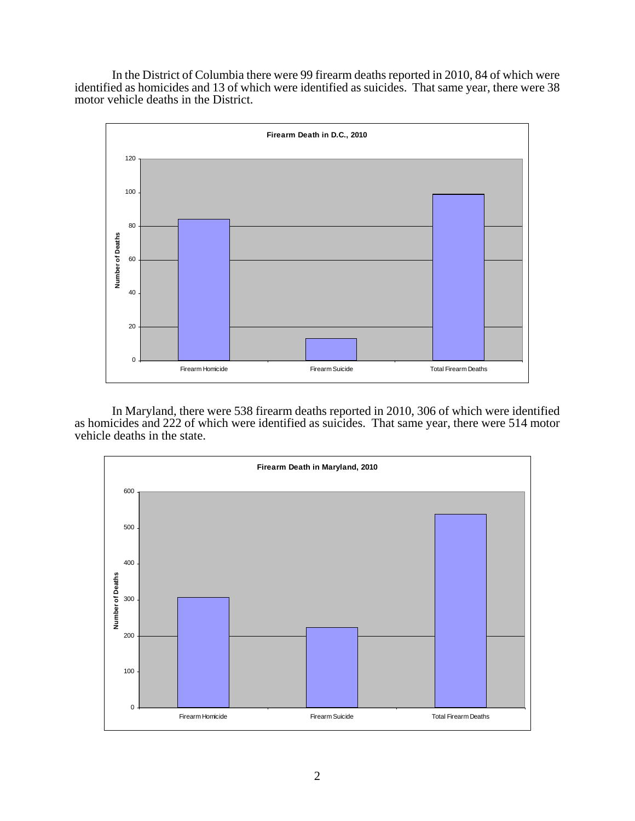In the District of Columbia there were 99 firearm deaths reported in 2010, 84 of which were identified as homicides and 13 of which were identified as suicides. That same year, there were 38 motor vehicle deaths in the District.



In Maryland, there were 538 firearm deaths reported in 2010, 306 of which were identified as homicides and 222 of which were identified as suicides. That same year, there were 514 motor vehicle deaths in the state.

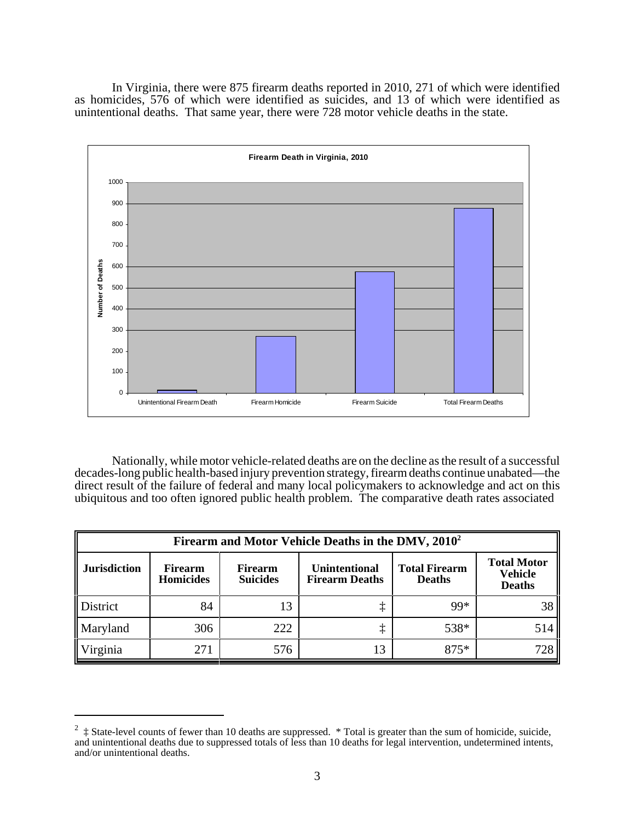In Virginia, there were 875 firearm deaths reported in 2010, 271 of which were identified as homicides, 576 of which were identified as suicides, and 13 of which were identified as unintentional deaths. That same year, there were 728 motor vehicle deaths in the state.



Nationally, while motor vehicle-related deaths are on the decline as the result of a successful decades-long public health-based injury prevention strategy, firearm deaths continue unabated—the direct result of the failure of federal and many local policymakers to acknowledge and act on this ubiquitous and too often ignored public health problem. The comparative death rates associated

| Firearm and Motor Vehicle Deaths in the DMV, 2010 <sup>2</sup> |                                    |                                   |                                               |                                       |                                                       |
|----------------------------------------------------------------|------------------------------------|-----------------------------------|-----------------------------------------------|---------------------------------------|-------------------------------------------------------|
| <b>Jurisdiction</b>                                            | <b>Firearm</b><br><b>Homicides</b> | <b>Firearm</b><br><b>Suicides</b> | <b>Unintentional</b><br><b>Firearm Deaths</b> | <b>Total Firearm</b><br><b>Deaths</b> | <b>Total Motor</b><br><b>Vehicle</b><br><b>Deaths</b> |
| District                                                       | 84                                 | 13                                |                                               | 99*                                   |                                                       |
| Maryland                                                       | 306                                | 222                               |                                               | 538*                                  | 514                                                   |
| Virginia                                                       | 271                                | 576                               |                                               | $875*$                                | 728                                                   |

<sup>2</sup> ‡ State-level counts of fewer than 10 deaths are suppressed. \* Total is greater than the sum of homicide, suicide, and unintentional deaths due to suppressed totals of less than 10 deaths for legal intervention, undetermined intents, and/or unintentional deaths.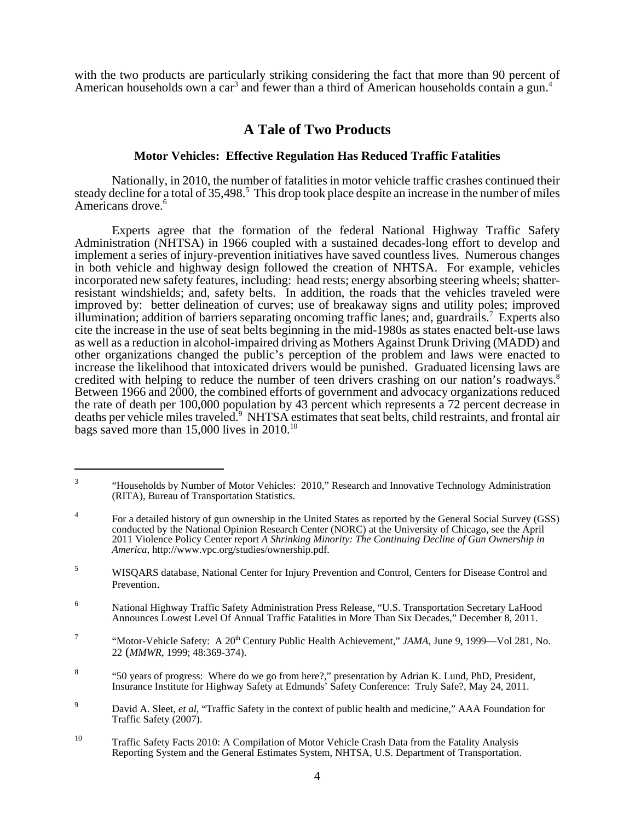with the two products are particularly striking considering the fact that more than 90 percent of American households own a car<sup>3</sup> and fewer than a third of American households contain a gun.<sup>4</sup>

## **A Tale of Two Products**

## **Motor Vehicles: Effective Regulation Has Reduced Traffic Fatalities**

Nationally, in 2010, the number of fatalities in motor vehicle traffic crashes continued their steady decline for a total of 35,498.<sup>5</sup> This drop took place despite an increase in the number of miles Americans drove.<sup>6</sup>

Experts agree that the formation of the federal National Highway Traffic Safety Administration (NHTSA) in 1966 coupled with a sustained decades-long effort to develop and implement a series of injury-prevention initiatives have saved countless lives. Numerous changes in both vehicle and highway design followed the creation of NHTSA. For example, vehicles incorporated new safety features, including: head rests; energy absorbing steering wheels; shatterresistant windshields; and, safety belts. In addition, the roads that the vehicles traveled were improved by: better delineation of curves; use of breakaway signs and utility poles; improved illumination; addition of barriers separating oncoming traffic lanes; and, guardrails.7 Experts also cite the increase in the use of seat belts beginning in the mid-1980s as states enacted belt-use laws as well as a reduction in alcohol-impaired driving as Mothers Against Drunk Driving (MADD) and other organizations changed the public's perception of the problem and laws were enacted to increase the likelihood that intoxicated drivers would be punished. Graduated licensing laws are credited with helping to reduce the number of teen drivers crashing on our nation's roadways.<sup>8</sup> Between 1966 and 2000, the combined efforts of government and advocacy organizations reduced the rate of death per 100,000 population by 43 percent which represents a 72 percent decrease in deaths per vehicle miles traveled.<sup>9</sup> NHTSA estimates that seat belts, child restraints, and frontal air bags saved more than 15,000 lives in 2010.<sup>10</sup>

<sup>&</sup>lt;sup>3</sup> "Households by Number of Motor Vehicles: 2010," Research and Innovative Technology Administration (RITA), Bureau of Transportation Statistics.

<sup>&</sup>lt;sup>4</sup> For a detailed history of gun ownership in the United States as reported by the General Social Survey (GSS) conducted by the National Opinion Research Center (NORC) at the University of Chicago, see the April 2011 Violence Policy Center report *A Shrinking Minority: The Continuing Decline of Gun Ownership in America*, http://www.vpc.org/studies/ownership.pdf.

<sup>5</sup> WISQARS database, National Center for Injury Prevention and Control, Centers for Disease Control and Prevention.

<sup>6</sup> National Highway Traffic Safety Administration Press Release, "U.S. Transportation Secretary LaHood Announces Lowest Level Of Annual Traffic Fatalities in More Than Six Decades," December 8, 2011.

<sup>&</sup>lt;sup>7</sup> "Motor-Vehicle Safety: A 20<sup>th</sup> Century Public Health Achievement," *JAMA*, June 9, 1999—Vol 281, No. 22 (*MMWR*, 1999; 48:369-374).

<sup>8</sup> "50 years of progress: Where do we go from here?," presentation by Adrian K. Lund, PhD, President, Insurance Institute for Highway Safety at Edmunds' Safety Conference: Truly Safe?, May 24, 2011.

<sup>9</sup> David A. Sleet, *et al*, "Traffic Safety in the context of public health and medicine," AAA Foundation for Traffic Safety (2007).

<sup>&</sup>lt;sup>10</sup> Traffic Safety Facts 2010: A Compilation of Motor Vehicle Crash Data from the Fatality Analysis Reporting System and the General Estimates System, NHTSA, U.S. Department of Transportation.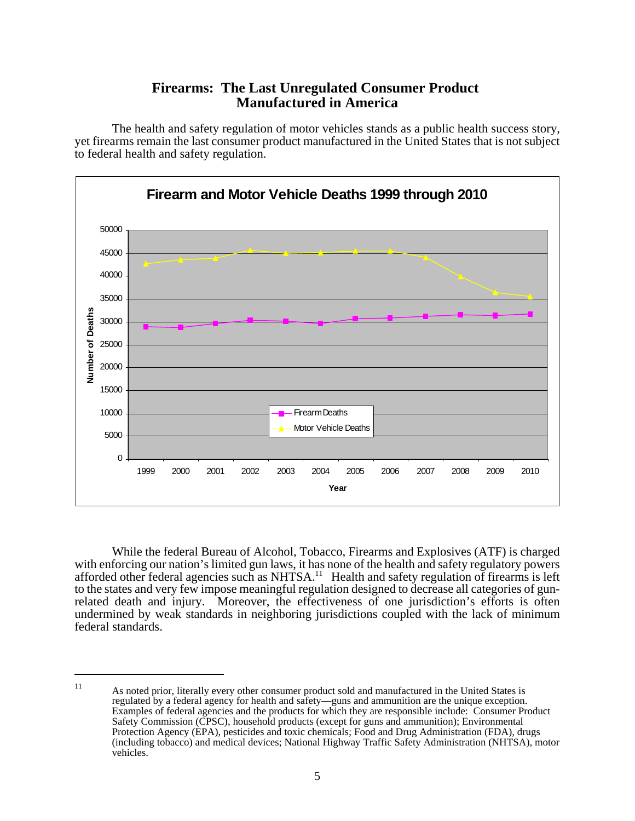## **Firearms: The Last Unregulated Consumer Product Manufactured in America**

The health and safety regulation of motor vehicles stands as a public health success story, yet firearms remain the last consumer product manufactured in the United States that is not subject to federal health and safety regulation.



While the federal Bureau of Alcohol, Tobacco, Firearms and Explosives (ATF) is charged with enforcing our nation's limited gun laws, it has none of the health and safety regulatory powers afforded other federal agencies such as NHTSA.<sup>11</sup> Health and safety regulation of firearms is left to the states and very few impose meaningful regulation designed to decrease all categories of gunrelated death and injury. Moreover, the effectiveness of one jurisdiction's efforts is often undermined by weak standards in neighboring jurisdictions coupled with the lack of minimum federal standards.

<sup>11</sup> As noted prior, literally every other consumer product sold and manufactured in the United States is regulated by a federal agency for health and safety—guns and ammunition are the unique exception. Examples of federal agencies and the products for which they are responsible include: Consumer Product Safety Commission (CPSC), household products (except for guns and ammunition); Environmental Protection Agency (EPA), pesticides and toxic chemicals; Food and Drug Administration (FDA), drugs (including tobacco) and medical devices; National Highway Traffic Safety Administration (NHTSA), motor vehicles.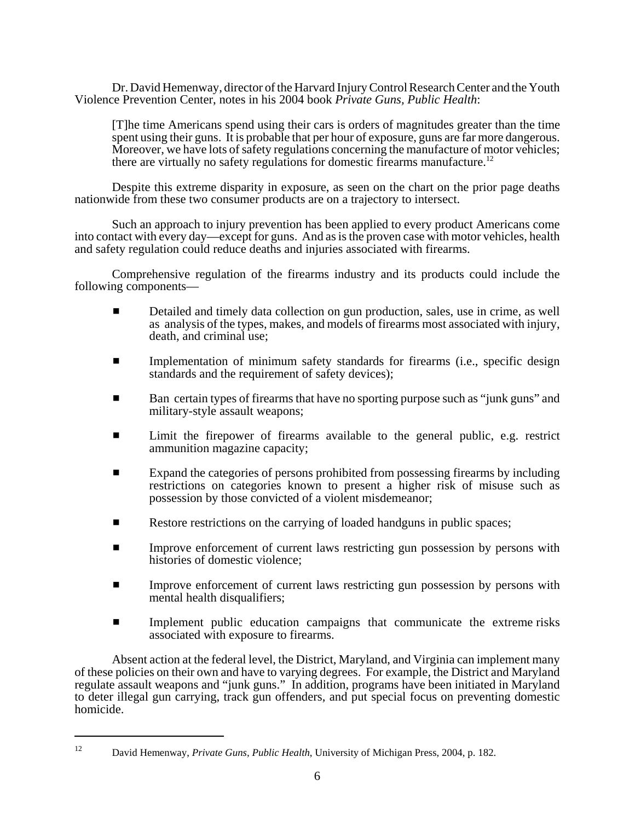Dr. David Hemenway, director of the Harvard Injury Control Research Center and the Youth Violence Prevention Center, notes in his 2004 book *Private Guns, Public Health*:

[T]he time Americans spend using their cars is orders of magnitudes greater than the time spent using their guns. It is probable that per hour of exposure, guns are far more dangerous. Moreover, we have lots of safety regulations concerning the manufacture of motor vehicles; there are virtually no safety regulations for domestic firearms manufacture.<sup>12</sup>

Despite this extreme disparity in exposure, as seen on the chart on the prior page deaths nationwide from these two consumer products are on a trajectory to intersect.

Such an approach to injury prevention has been applied to every product Americans come into contact with every day—except for guns. And as is the proven case with motor vehicles, health and safety regulation could reduce deaths and injuries associated with firearms.

Comprehensive regulation of the firearms industry and its products could include the following components—

- **EXECUTE:** Detailed and timely data collection on gun production, sales, use in crime, as well as analysis of the types, makes, and models of firearms most associated with injury, death, and criminal use;
- $\blacksquare$  Implementation of minimum safety standards for firearms (i.e., specific design standards and the requirement of safety devices);
- Ban certain types of firearms that have no sporting purpose such as "junk guns" and military-style assault weapons;
- **EXECUTE:** Limit the firepower of firearms available to the general public, e.g. restrict ammunition magazine capacity;
- Expand the categories of persons prohibited from possessing firearms by including restrictions on categories known to present a higher risk of misuse such as possession by those convicted of a violent misdemeanor;
- **EXECUTE:** Restore restrictions on the carrying of loaded handguns in public spaces;
- **Example 1** Improve enforcement of current laws restricting gun possession by persons with histories of domestic violence;
- **Example 1** Improve enforcement of current laws restricting gun possession by persons with mental health disqualifiers;
- $\blacksquare$  Implement public education campaigns that communicate the extreme risks associated with exposure to firearms.

Absent action at the federal level, the District, Maryland, and Virginia can implement many of these policies on their own and have to varying degrees. For example, the District and Maryland regulate assault weapons and "junk guns." In addition, programs have been initiated in Maryland to deter illegal gun carrying, track gun offenders, and put special focus on preventing domestic homicide.

<sup>12</sup> David Hemenway, *Private Guns, Public Health*, University of Michigan Press, 2004, p. 182.